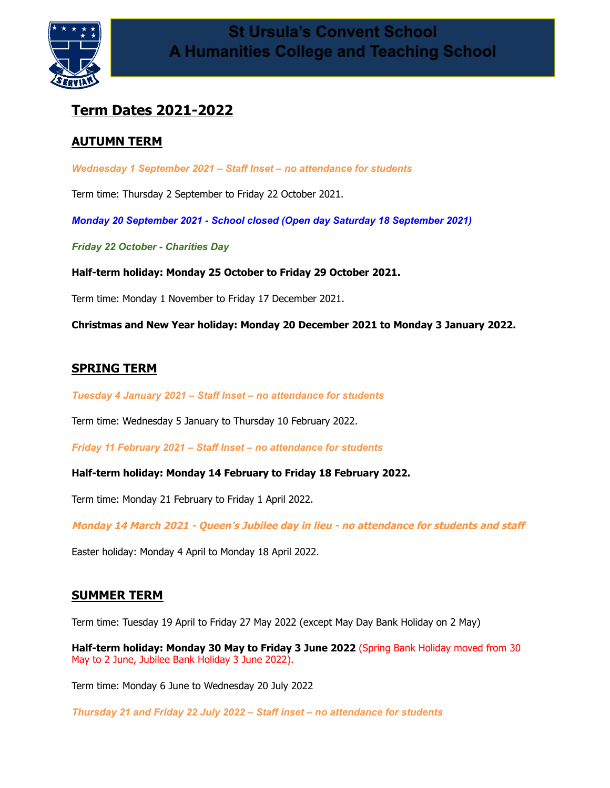

# **Term Dates 2021-2022**

## **AUTUMN TERM**

*Wednesday 1 September 2021 – Staff Inset – no attendance for students*

Term time: Thursday 2 September to Friday 22 October 2021.

*Monday 20 September 2021 - School closed (Open day Saturday 18 September 2021)*

*Friday 22 October - Charities Day*

**Half-term holiday: Monday 25 October to Friday 29 October 2021.**

Term time: Monday 1 November to Friday 17 December 2021.

**Christmas and New Year holiday: Monday 20 December 2021 to Monday 3 January 2022.**

### **SPRING TERM**

*Tuesday 4 January 2021 – Staff Inset – no attendance for students*

Term time: Wednesday 5 January to Thursday 10 February 2022.

*Friday 11 February 2021 – Staff Inset – no attendance for students*

#### **Half-term holiday: Monday 14 February to Friday 18 February 2022.**

Term time: Monday 21 February to Friday 1 April 2022.

**Monday 14 March 2021 - Queen's Jubilee day in lieu - no attendance for students and staff**

Easter holiday: Monday 4 April to Monday 18 April 2022.

### **SUMMER TERM**

Term time: Tuesday 19 April to Friday 27 May 2022 (except May Day Bank Holiday on 2 May)

**Half-term holiday: Monday 30 May to Friday 3 June 2022** (Spring Bank Holiday moved from 30 May to 2 June, Jubilee Bank Holiday 3 June 2022).

Term time: Monday 6 June to Wednesday 20 July 2022

*Thursday 21 and Friday 22 July 2022 – Staff inset – no attendance for students*